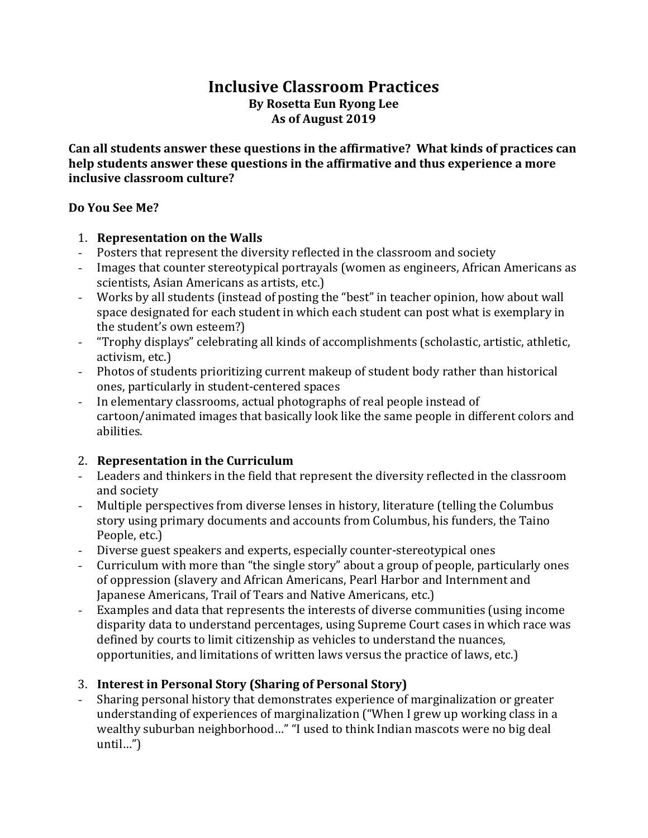# **Inclusive Classroom Practices By Rosetta Eun Ryong Lee** As of August 2019

Can all students answer these questions in the affirmative? What kinds of practices can **help students answer these questions in the affirmative and thus experience a more inclusive classroom culture?** 

#### **Do You See Me?**

#### 1. **Representation on the Walls**

- Posters that represent the diversity reflected in the classroom and society
- Images that counter stereotypical portrayals (women as engineers, African Americans as scientists, Asian Americans as artists, etc.)
- Works by all students (instead of posting the "best" in teacher opinion, how about wall space designated for each student in which each student can post what is exemplary in the student's own esteem?)
- "Trophy displays" celebrating all kinds of accomplishments (scholastic, artistic, athletic, activism, etc.)
- Photos of students prioritizing current makeup of student body rather than historical ones, particularly in student-centered spaces
- In elementary classrooms, actual photographs of real people instead of cartoon/animated images that basically look like the same people in different colors and abilities.

### 2. **Representation in the Curriculum**

- Leaders and thinkers in the field that represent the diversity reflected in the classroom and society
- Multiple perspectives from diverse lenses in history, literature (telling the Columbus story using primary documents and accounts from Columbus, his funders, the Taino People, etc.)
- Diverse guest speakers and experts, especially counter-stereotypical ones
- Curriculum with more than "the single story" about a group of people, particularly ones of oppression (slavery and African Americans, Pearl Harbor and Internment and Japanese Americans, Trail of Tears and Native Americans, etc.)
- Examples and data that represents the interests of diverse communities (using income disparity data to understand percentages, using Supreme Court cases in which race was defined by courts to limit citizenship as vehicles to understand the nuances, opportunities, and limitations of written laws versus the practice of laws, etc.)

### 3. **Interest in Personal Story (Sharing of Personal Story)**

Sharing personal history that demonstrates experience of marginalization or greater understanding of experiences of marginalization ("When I grew up working class in a wealthy suburban neighborhood..." "I used to think Indian mascots were no big deal until…")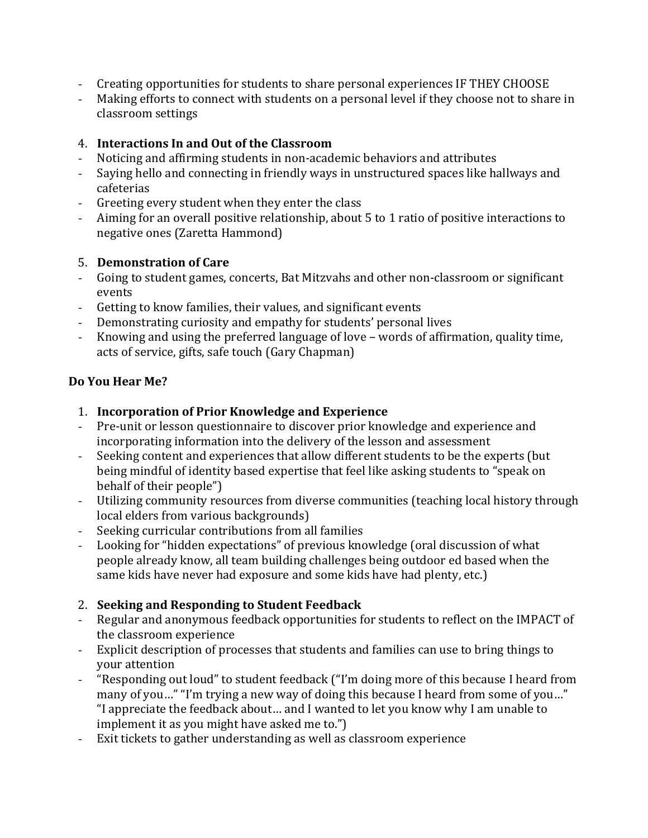- Creating opportunities for students to share personal experiences IF THEY CHOOSE
- Making efforts to connect with students on a personal level if they choose not to share in classroom settings

#### 4. **Interactions In and Out of the Classroom**

- Noticing and affirming students in non-academic behaviors and attributes
- Saying hello and connecting in friendly ways in unstructured spaces like hallways and cafeterias
- Greeting every student when they enter the class
- Aiming for an overall positive relationship, about 5 to 1 ratio of positive interactions to negative ones (Zaretta Hammond)

#### 5. **Demonstration of Care**

- Going to student games, concerts, Bat Mitzvahs and other non-classroom or significant events
- Getting to know families, their values, and significant events
- Demonstrating curiosity and empathy for students' personal lives
- Knowing and using the preferred language of love words of affirmation, quality time, acts of service, gifts, safe touch (Gary Chapman)

#### **Do You Hear Me?**

- 1. **Incorporation of Prior Knowledge and Experience**
- Pre-unit or lesson questionnaire to discover prior knowledge and experience and incorporating information into the delivery of the lesson and assessment
- Seeking content and experiences that allow different students to be the experts (but being mindful of identity based expertise that feel like asking students to "speak on behalf of their people")
- Utilizing community resources from diverse communities (teaching local history through local elders from various backgrounds)
- Seeking curricular contributions from all families
- Looking for "hidden expectations" of previous knowledge (oral discussion of what people already know, all team building challenges being outdoor ed based when the same kids have never had exposure and some kids have had plenty, etc.)

### 2. Seeking and Responding to Student Feedback

- Regular and anonymous feedback opportunities for students to reflect on the IMPACT of the classroom experience
- Explicit description of processes that students and families can use to bring things to your attention
- "Responding out loud" to student feedback ("I'm doing more of this because I heard from many of you..." "I'm trying a new way of doing this because I heard from some of you..." "I appreciate the feedback about... and I wanted to let you know why I am unable to implement it as you might have asked me to.")
- Exit tickets to gather understanding as well as classroom experience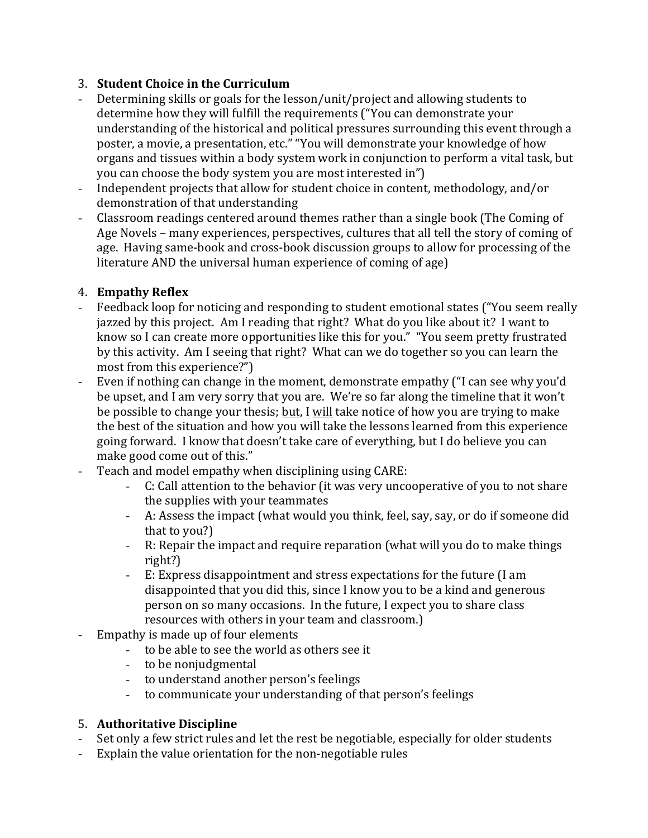### 3. **Student Choice in the Curriculum**

- Determining skills or goals for the lesson/unit/project and allowing students to determine how they will fulfill the requirements ("You can demonstrate your understanding of the historical and political pressures surrounding this event through a poster, a movie, a presentation, etc." "You will demonstrate your knowledge of how organs and tissues within a body system work in conjunction to perform a vital task, but you can choose the body system you are most interested in")
- Independent projects that allow for student choice in content, methodology, and/or demonstration of that understanding
- Classroom readings centered around themes rather than a single book (The Coming of Age Novels – many experiences, perspectives, cultures that all tell the story of coming of age. Having same-book and cross-book discussion groups to allow for processing of the literature AND the universal human experience of coming of age)

## 4. **Empathy Reflex**

- Feedback loop for noticing and responding to student emotional states ("You seem really jazzed by this project. Am I reading that right? What do you like about it? I want to know so I can create more opportunities like this for you." "You seem pretty frustrated by this activity. Am I seeing that right? What can we do together so you can learn the most from this experience?")
- Even if nothing can change in the moment, demonstrate empathy ("I can see why you'd be upset, and I am very sorry that you are. We're so far along the timeline that it won't be possible to change your thesis; but, I will take notice of how you are trying to make the best of the situation and how you will take the lessons learned from this experience going forward. I know that doesn't take care of everything, but I do believe you can make good come out of this."
- Teach and model empathy when disciplining using CARE:
	- C: Call attention to the behavior (it was very uncooperative of you to not share the supplies with your teammates
	- A: Assess the impact (what would you think, feel, say, say, or do if someone did that to  $you?$
	- R: Repair the impact and require reparation (what will you do to make things right?)
	- E: Express disappointment and stress expectations for the future (I am disappointed that you did this, since I know you to be a kind and generous person on so many occasions. In the future, I expect you to share class resources with others in your team and classroom.)
- Empathy is made up of four elements
	- to be able to see the world as others see it
	- to be nonjudgmental
	- to understand another person's feelings
	- to communicate your understanding of that person's feelings

### 5. **Authoritative Discipline**

- Set only a few strict rules and let the rest be negotiable, especially for older students
- Explain the value orientation for the non-negotiable rules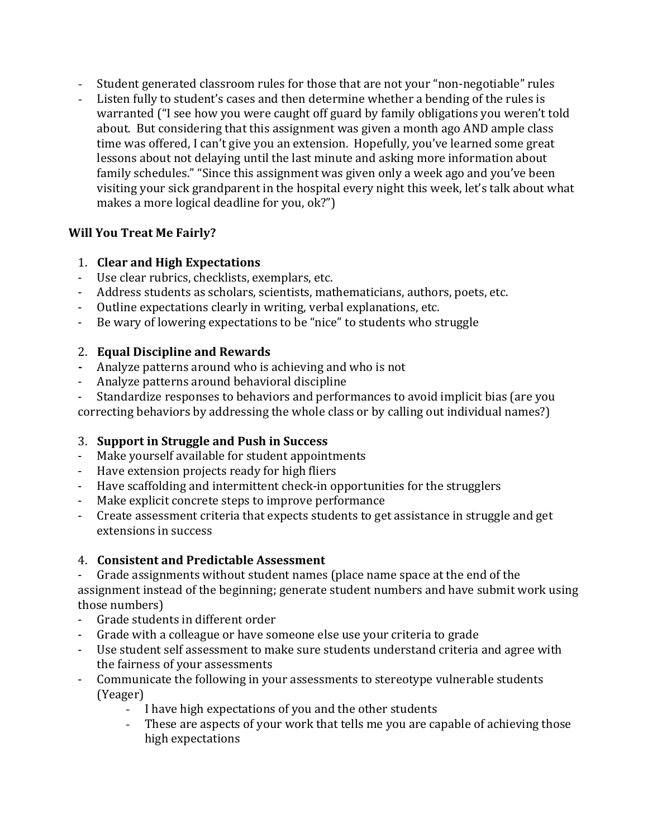- Student generated classroom rules for those that are not your "non-negotiable" rules
- Listen fully to student's cases and then determine whether a bending of the rules is warranted ("I see how you were caught off guard by family obligations you weren't told about. But considering that this assignment was given a month ago AND ample class time was offered, I can't give you an extension. Hopefully, you've learned some great lessons about not delaying until the last minute and asking more information about family schedules." "Since this assignment was given only a week ago and you've been visiting your sick grandparent in the hospital every night this week, let's talk about what makes a more logical deadline for you, ok?")

### **Will You Treat Me Fairly?**

### 1. **Clear and High Expectations**

- Use clear rubrics, checklists, exemplars, etc.
- Address students as scholars, scientists, mathematicians, authors, poets, etc.
- Outline expectations clearly in writing, verbal explanations, etc.
- Be wary of lowering expectations to be "nice" to students who struggle

### 2. **Equal Discipline and Rewards**

- **-** Analyze patterns around who is achieving and who is not
- Analyze patterns around behavioral discipline
- Standardize responses to behaviors and performances to avoid implicit bias (are you

correcting behaviors by addressing the whole class or by calling out individual names?)

### **3. Support in Struggle and Push in Success**

- Make yourself available for student appointments
- Have extension projects ready for high fliers
- Have scaffolding and intermittent check-in opportunities for the strugglers
- Make explicit concrete steps to improve performance
- Create assessment criteria that expects students to get assistance in struggle and get extensions in success

### 4. **Consistent and Predictable Assessment**

- Grade assignments without student names (place name space at the end of the

assignment instead of the beginning; generate student numbers and have submit work using those numbers)

- Grade students in different order
- Grade with a colleague or have someone else use your criteria to grade
- Use student self assessment to make sure students understand criteria and agree with the fairness of your assessments
- Communicate the following in your assessments to stereotype vulnerable students (Yeager)
	- I have high expectations of you and the other students
	- These are aspects of your work that tells me you are capable of achieving those high expectations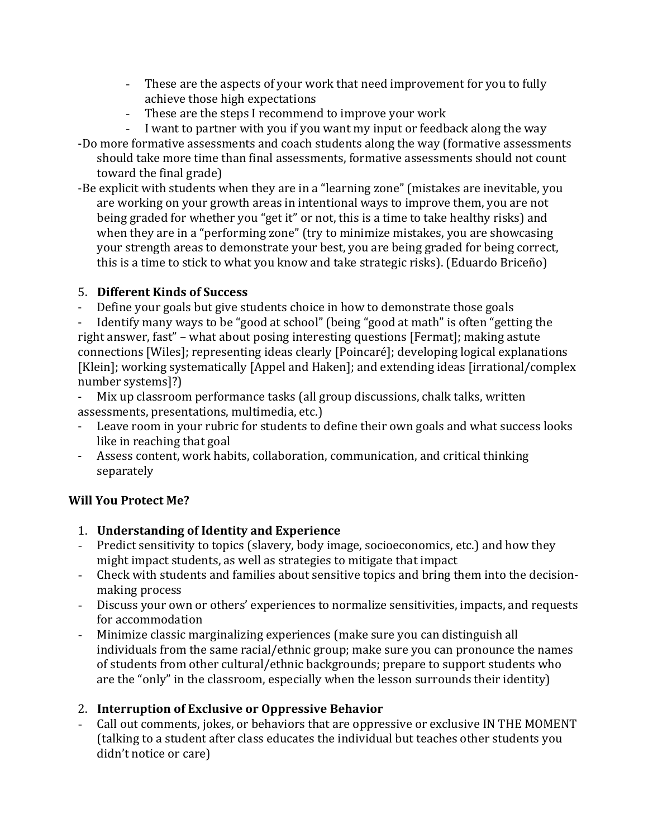- These are the aspects of your work that need improvement for you to fully achieve those high expectations
- These are the steps I recommend to improve your work
- I want to partner with you if you want my input or feedback along the way
- -Do more formative assessments and coach students along the way (formative assessments should take more time than final assessments, formative assessments should not count toward the final grade)
- -Be explicit with students when they are in a "learning zone" (mistakes are inevitable, you are working on your growth areas in intentional ways to improve them, you are not being graded for whether you "get it" or not, this is a time to take healthy risks) and when they are in a "performing zone" (try to minimize mistakes, you are showcasing your strength areas to demonstrate your best, you are being graded for being correct, this is a time to stick to what you know and take strategic risks). (Eduardo Briceño)

### 5. **Different Kinds of Success**

Define your goals but give students choice in how to demonstrate those goals

Identify many ways to be "good at school" (being "good at math" is often "getting the right answer, fast" - what about posing interesting questions [Fermat]; making astute connections [Wiles]; representing ideas clearly [Poincaré]; developing logical explanations [Klein]; working systematically [Appel and Haken]; and extending ideas [irrational/complex number systems]?)

- Mix up classroom performance tasks (all group discussions, chalk talks, written assessments, presentations, multimedia, etc.)
- Leave room in your rubric for students to define their own goals and what success looks like in reaching that goal
- Assess content, work habits, collaboration, communication, and critical thinking separately

### **Will You Protect Me?**

- 1. **Understanding of Identity and Experience**
- Predict sensitivity to topics (slavery, body image, socioeconomics, etc.) and how they might impact students, as well as strategies to mitigate that impact
- Check with students and families about sensitive topics and bring them into the decisionmaking process
- Discuss your own or others' experiences to normalize sensitivities, impacts, and requests for accommodation
- Minimize classic marginalizing experiences (make sure you can distinguish all individuals from the same racial/ethnic group; make sure you can pronounce the names of students from other cultural/ethnic backgrounds; prepare to support students who are the "only" in the classroom, especially when the lesson surrounds their identity)

### 2. **Interruption of Exclusive or Oppressive Behavior**

Call out comments, jokes, or behaviors that are oppressive or exclusive IN THE MOMENT (talking to a student after class educates the individual but teaches other students you didn't notice or care)